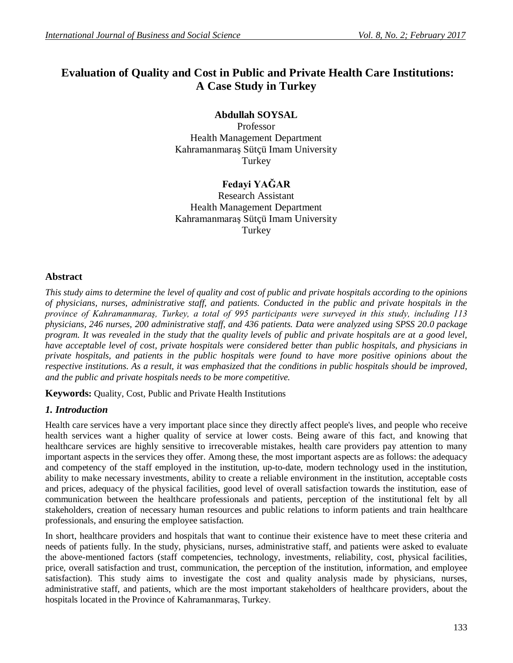# **Evaluation of Quality and Cost in Public and Private Health Care Institutions: A Case Study in Turkey**

### **Abdullah SOYSAL**

Professor Health Management Department Kahramanmaraş Sütçü Imam University Turkey

### **Fedayi YAĞAR**

Research Assistant Health Management Department Kahramanmaraş Sütçü Imam University **Turkey** 

### **Abstract**

*This study aims to determine the level of quality and cost of public and private hospitals according to the opinions of physicians, nurses, administrative staff, and patients. Conducted in the public and private hospitals in the province of Kahramanmaraş, Turkey, a total of 995 participants were surveyed in this study, including 113 physicians, 246 nurses, 200 administrative staff, and 436 patients. Data were analyzed using SPSS 20.0 package* program. It was revealed in the study that the quality levels of public and private hospitals are at a good level, *have acceptable level of cost, private hospitals were considered better than public hospitals, and physicians in private hospitals, and patients in the public hospitals were found to have more positive opinions about the respective institutions. As a result, it was emphasized that the conditions in public hospitals should be improved, and the public and private hospitals needs to be more competitive.*

**Keywords:** Quality, Cost, Public and Private Health Institutions

# *1. Introduction*

Health care services have a very important place since they directly affect people's lives, and people who receive health services want a higher quality of service at lower costs. Being aware of this fact, and knowing that healthcare services are highly sensitive to irrecoverable mistakes, health care providers pay attention to many important aspects in the services they offer. Among these, the most important aspects are as follows: the adequacy and competency of the staff employed in the institution, up-to-date, modern technology used in the institution, ability to make necessary investments, ability to create a reliable environment in the institution, acceptable costs and prices, adequacy of the physical facilities, good level of overall satisfaction towards the institution, ease of communication between the healthcare professionals and patients, perception of the institutional felt by all stakeholders, creation of necessary human resources and public relations to inform patients and train healthcare professionals, and ensuring the employee satisfaction.

In short, healthcare providers and hospitals that want to continue their existence have to meet these criteria and needs of patients fully. In the study, physicians, nurses, administrative staff, and patients were asked to evaluate the above-mentioned factors (staff competencies, technology, investments, reliability, cost, physical facilities, price, overall satisfaction and trust, communication, the perception of the institution, information, and employee satisfaction). This study aims to investigate the cost and quality analysis made by physicians, nurses, administrative staff, and patients, which are the most important stakeholders of healthcare providers, about the hospitals located in the Province of Kahramanmaraş, Turkey.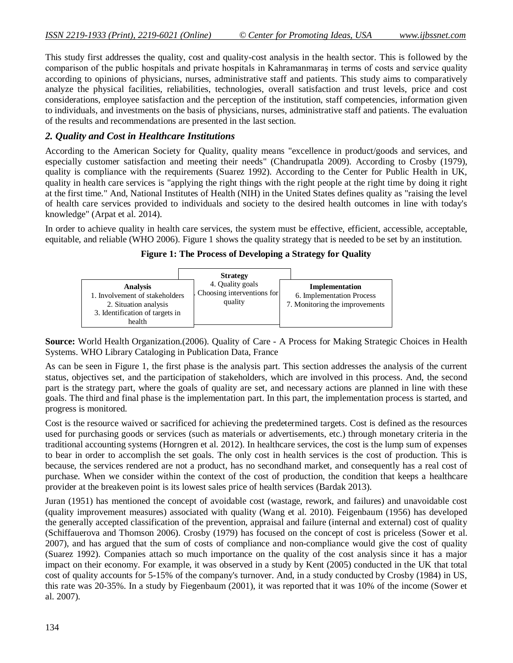This study first addresses the quality, cost and quality-cost analysis in the health sector. This is followed by the comparison of the public hospitals and private hospitals in Kahramanmaraş in terms of costs and service quality according to opinions of physicians, nurses, administrative staff and patients. This study aims to comparatively analyze the physical facilities, reliabilities, technologies, overall satisfaction and trust levels, price and cost considerations, employee satisfaction and the perception of the institution, staff competencies, information given to individuals, and investments on the basis of physicians, nurses, administrative staff and patients. The evaluation of the results and recommendations are presented in the last section.

### *2. Quality and Cost in Healthcare Institutions*

According to the American Society for Quality, quality means "excellence in product/goods and services, and especially customer satisfaction and meeting their needs" (Chandrupatla 2009). According to Crosby (1979), quality is compliance with the requirements (Suarez 1992). According to the Center for Public Health in UK, quality in health care services is "applying the right things with the right people at the right time by doing it right at the first time." And, National Institutes of Health (NIH) in the United States defines quality as "raising the level of health care services provided to individuals and society to the desired health outcomes in line with today's knowledge" (Arpat et al. 2014).

In order to achieve quality in health care services, the system must be effective, efficient, accessible, acceptable, equitable, and reliable (WHO 2006). Figure 1 shows the quality strategy that is needed to be set by an institution.

| Figure 1: The Process of Developing a Strategy for Quality |  |  |  |  |  |  |  |  |  |
|------------------------------------------------------------|--|--|--|--|--|--|--|--|--|
|------------------------------------------------------------|--|--|--|--|--|--|--|--|--|

|                                                                                                                         | <b>Strategy</b>                                           |                                                                               |
|-------------------------------------------------------------------------------------------------------------------------|-----------------------------------------------------------|-------------------------------------------------------------------------------|
| <b>Analysis</b><br>1. Involvement of stakeholders<br>2. Situation analysis<br>3. Identification of targets in<br>health | 4. Quality goals<br>Choosing interventions for<br>quality | Implementation<br>6. Implementation Process<br>7. Monitoring the improvements |

**Source:** World Health Organization.(2006). Quality of Care - A Process for Making Strategic Choices in Health Systems. WHO Library Cataloging in Publication Data, France

As can be seen in Figure 1, the first phase is the analysis part. This section addresses the analysis of the current status, objectives set, and the participation of stakeholders, which are involved in this process. And, the second part is the strategy part, where the goals of quality are set, and necessary actions are planned in line with these goals. The third and final phase is the implementation part. In this part, the implementation process is started, and progress is monitored.

Cost is the resource waived or sacrificed for achieving the predetermined targets. Cost is defined as the resources used for purchasing goods or services (such as materials or advertisements, etc.) through monetary criteria in the traditional accounting systems (Horngren et al. 2012). In healthcare services, the cost is the lump sum of expenses to bear in order to accomplish the set goals. The only cost in health services is the cost of production. This is because, the services rendered are not a product, has no secondhand market, and consequently has a real cost of purchase. When we consider within the context of the cost of production, the condition that keeps a healthcare provider at the breakeven point is its lowest sales price of health services (Bardak 2013).

Juran (1951) has mentioned the concept of avoidable cost (wastage, rework, and failures) and unavoidable cost (quality improvement measures) associated with quality (Wang et al. 2010). Feigenbaum (1956) has developed the generally accepted classification of the prevention, appraisal and failure (internal and external) cost of quality (Schiffauerova and Thomson 2006). Crosby (1979) has focused on the concept of cost is priceless (Sower et al. 2007), and has argued that the sum of costs of compliance and non-compliance would give the cost of quality (Suarez 1992). Companies attach so much importance on the quality of the cost analysis since it has a major impact on their economy. For example, it was observed in a study by Kent (2005) conducted in the UK that total cost of quality accounts for 5-15% of the company's turnover. And, in a study conducted by Crosby (1984) in US, this rate was 20-35%. In a study by Fiegenbaum (2001), it was reported that it was 10% of the income (Sower et al. 2007).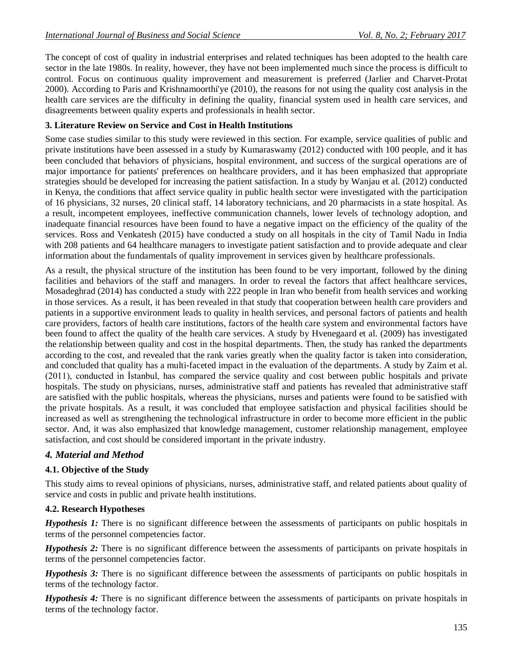The concept of cost of quality in industrial enterprises and related techniques has been adopted to the health care sector in the late 1980s. In reality, however, they have not been implemented much since the process is difficult to control. Focus on continuous quality improvement and measurement is preferred (Jarlier and Charvet-Protat 2000). According to Paris and Krishnamoorthi'ye (2010), the reasons for not using the quality cost analysis in the health care services are the difficulty in defining the quality, financial system used in health care services, and disagreements between quality experts and professionals in health sector.

# **3. Literature Review on Service and Cost in Health Institutions**

Some case studies similar to this study were reviewed in this section. For example, service qualities of public and private institutions have been assessed in a study by Kumaraswamy (2012) conducted with 100 people, and it has been concluded that behaviors of physicians, hospital environment, and success of the surgical operations are of major importance for patients' preferences on healthcare providers, and it has been emphasized that appropriate strategies should be developed for increasing the patient satisfaction. In a study by Wanjau et al. (2012) conducted in Kenya, the conditions that affect service quality in public health sector were investigated with the participation of 16 physicians, 32 nurses, 20 clinical staff, 14 laboratory technicians, and 20 pharmacists in a state hospital. As a result, incompetent employees, ineffective communication channels, lower levels of technology adoption, and inadequate financial resources have been found to have a negative impact on the efficiency of the quality of the services. Ross and Venkatesh (2015) have conducted a study on all hospitals in the city of Tamil Nadu in India with 208 patients and 64 healthcare managers to investigate patient satisfaction and to provide adequate and clear information about the fundamentals of quality improvement in services given by healthcare professionals.

As a result, the physical structure of the institution has been found to be very important, followed by the dining facilities and behaviors of the staff and managers. In order to reveal the factors that affect healthcare services, Mosadeghrad (2014) has conducted a study with 222 people in Iran who benefit from health services and working in those services. As a result, it has been revealed in that study that cooperation between health care providers and patients in a supportive environment leads to quality in health services, and personal factors of patients and health care providers, factors of health care institutions, factors of the health care system and environmental factors have been found to affect the quality of the health care services. A study by Hvenegaard et al. (2009) has investigated the relationship between quality and cost in the hospital departments. Then, the study has ranked the departments according to the cost, and revealed that the rank varies greatly when the quality factor is taken into consideration, and concluded that quality has a multi-faceted impact in the evaluation of the departments. A study by Zaim et al. (2011), conducted in İstanbul, has compared the service quality and cost between public hospitals and private hospitals. The study on physicians, nurses, administrative staff and patients has revealed that administrative staff are satisfied with the public hospitals, whereas the physicians, nurses and patients were found to be satisfied with the private hospitals. As a result, it was concluded that employee satisfaction and physical facilities should be increased as well as strengthening the technological infrastructure in order to become more efficient in the public sector. And, it was also emphasized that knowledge management, customer relationship management, employee satisfaction, and cost should be considered important in the private industry.

# *4. Material and Method*

# **4.1. Objective of the Study**

This study aims to reveal opinions of physicians, nurses, administrative staff, and related patients about quality of service and costs in public and private health institutions.

# **4.2. Research Hypotheses**

*Hypothesis 1:* There is no significant difference between the assessments of participants on public hospitals in terms of the personnel competencies factor.

*Hypothesis 2:* There is no significant difference between the assessments of participants on private hospitals in terms of the personnel competencies factor.

*Hypothesis 3:* There is no significant difference between the assessments of participants on public hospitals in terms of the technology factor.

*Hypothesis 4:* There is no significant difference between the assessments of participants on private hospitals in terms of the technology factor.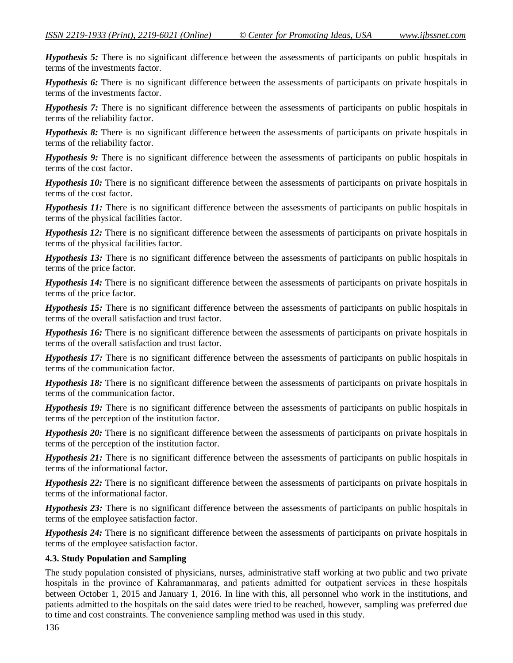*Hypothesis 6:* There is no significant difference between the assessments of participants on private hospitals in terms of the investments factor.

*Hypothesis 7:* There is no significant difference between the assessments of participants on public hospitals in terms of the reliability factor.

*Hypothesis 8:* There is no significant difference between the assessments of participants on private hospitals in terms of the reliability factor.

*Hypothesis 9:* There is no significant difference between the assessments of participants on public hospitals in terms of the cost factor.

*Hypothesis 10:* There is no significant difference between the assessments of participants on private hospitals in terms of the cost factor.

*Hypothesis 11:* There is no significant difference between the assessments of participants on public hospitals in terms of the physical facilities factor.

*Hypothesis 12:* There is no significant difference between the assessments of participants on private hospitals in terms of the physical facilities factor.

*Hypothesis 13:* There is no significant difference between the assessments of participants on public hospitals in terms of the price factor.

*Hypothesis 14:* There is no significant difference between the assessments of participants on private hospitals in terms of the price factor.

*Hypothesis 15:* There is no significant difference between the assessments of participants on public hospitals in terms of the overall satisfaction and trust factor.

*Hypothesis 16:* There is no significant difference between the assessments of participants on private hospitals in terms of the overall satisfaction and trust factor.

*Hypothesis 17:* There is no significant difference between the assessments of participants on public hospitals in terms of the communication factor.

*Hypothesis 18:* There is no significant difference between the assessments of participants on private hospitals in terms of the communication factor.

*Hypothesis 19:* There is no significant difference between the assessments of participants on public hospitals in terms of the perception of the institution factor.

*Hypothesis 20:* There is no significant difference between the assessments of participants on private hospitals in terms of the perception of the institution factor.

*Hypothesis 21:* There is no significant difference between the assessments of participants on public hospitals in terms of the informational factor.

*Hypothesis 22:* There is no significant difference between the assessments of participants on private hospitals in terms of the informational factor.

*Hypothesis 23:* There is no significant difference between the assessments of participants on public hospitals in terms of the employee satisfaction factor.

*Hypothesis 24:* There is no significant difference between the assessments of participants on private hospitals in terms of the employee satisfaction factor.

### **4.3. Study Population and Sampling**

The study population consisted of physicians, nurses, administrative staff working at two public and two private hospitals in the province of Kahramanmaras, and patients admitted for outpatient services in these hospitals between October 1, 2015 and January 1, 2016. In line with this, all personnel who work in the institutions, and patients admitted to the hospitals on the said dates were tried to be reached, however, sampling was preferred due to time and cost constraints. The convenience sampling method was used in this study.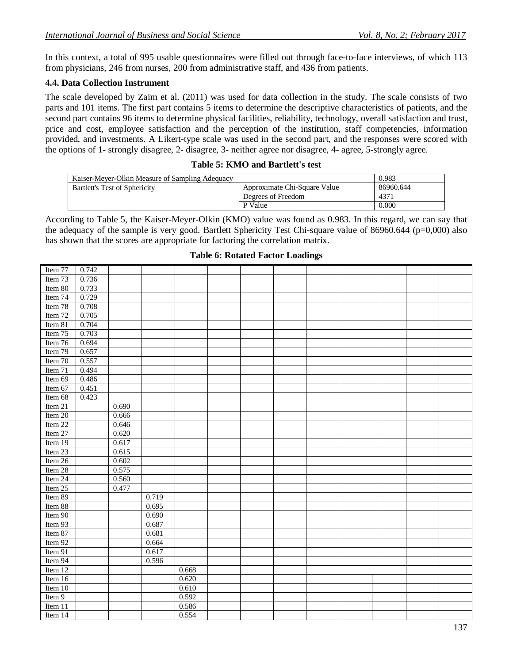In this context, a total of 995 usable questionnaires were filled out through face-to-face interviews, of which 113 from physicians, 246 from nurses, 200 from administrative staff, and 436 from patients.

### **4.4. Data Collection Instrument**

The scale developed by Zaim et al. (2011) was used for data collection in the study. The scale consists of two parts and 101 items. The first part contains 5 items to determine the descriptive characteristics of patients, and the second part contains 96 items to determine physical facilities, reliability, technology, overall satisfaction and trust, price and cost, employee satisfaction and the perception of the institution, staff competencies, information provided, and investments. A Likert-type scale was used in the second part, and the responses were scored with the options of 1- strongly disagree, 2- disagree, 3- neither agree nor disagree, 4- agree, 5-strongly agree.

### **Table 5: KMO and Bartlett's test**

| Kaiser-Meyer-Olkin Measure of Sampling Adequacy |                              | 0.983     |
|-------------------------------------------------|------------------------------|-----------|
| <b>Bartlett's Test of Sphericity</b>            | Approximate Chi-Square Value | 86960.644 |
|                                                 | Degrees of Freedom           | 4371      |
|                                                 | P Value                      | 0.000     |

According to Table 5, the Kaiser-Meyer-Olkin (KMO) value was found as 0.983. In this regard, we can say that the adequacy of the sample is very good. Bartlett Sphericity Test Chi-square value of 86960.644 (p=0,000) also has shown that the scores are appropriate for factoring the correlation matrix.

#### $\overline{\phantom{a}}$ **ariFactFactFactFactFactFactFactFactFactoFacFactFac**Item 77  $\pm 0.742$ Item 73 0.736 Item 80  $\big|$  0.733 Item 74  $\big|$  0.729 Item 78 0.708 Item  $72 \, | \, 0.705$ Item 81  $\big|$  0.704 Item  $75 \, \mid 0.703$ Item  $76$  0.694 Item 79 0.657 Item 70 0.557 Item 71 0.494 Item 69 0.486  $\frac{\text{Item } 67}{\text{Item } 68}$  0.423 Item  $68$ Item 21 0.690  $Item 20$  0.666  $Item 22$  0.646  $Item 27$  0.620 Item 19 0.617 Item 23 0.615  $Item 26$  0.602  $Item 28$  0.575 Item 24 0.560 Item 25 0.477 Item 89 0.719 Item 88 0.695 Item 90 0.690 Item 93 0.687<br>Item 87 0.681 Item 87 Item 92 0.664 Item 91 0.617 Item 94 0.596  $Item 12$  0.668  $\text{Item } 16$  0.620 Item 10 0.610  $Item 9$  0.592 Item 11 0.586 Item 14 0.554

### **Table 6: Rotated Factor Loadings**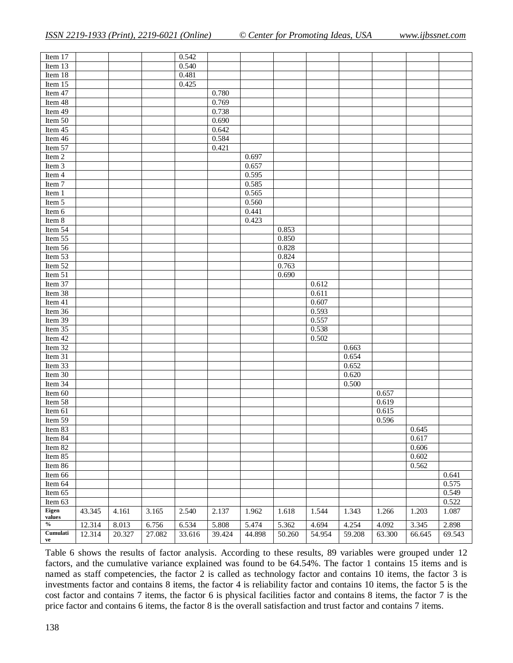| Item 17       |        |        |        | 0.542  |        |        |        |        |        |        |        |        |
|---------------|--------|--------|--------|--------|--------|--------|--------|--------|--------|--------|--------|--------|
| Item $13$     |        |        |        | 0.540  |        |        |        |        |        |        |        |        |
| Item 18       |        |        |        | 0.481  |        |        |        |        |        |        |        |        |
| Item 15       |        |        |        | 0.425  |        |        |        |        |        |        |        |        |
| Item 47       |        |        |        |        | 0.780  |        |        |        |        |        |        |        |
| Item 48       |        |        |        |        | 0.769  |        |        |        |        |        |        |        |
| Item 49       |        |        |        |        | 0.738  |        |        |        |        |        |        |        |
| Item $50$     |        |        |        |        | 0.690  |        |        |        |        |        |        |        |
| Item 45       |        |        |        |        | 0.642  |        |        |        |        |        |        |        |
| Item 46       |        |        |        |        | 0.584  |        |        |        |        |        |        |        |
| Item 57       |        |        |        |        | 0.421  |        |        |        |        |        |        |        |
| Item $2$      |        |        |        |        |        | 0.697  |        |        |        |        |        |        |
| Item 3        |        |        |        |        |        | 0.657  |        |        |        |        |        |        |
| Item 4        |        |        |        |        |        | 0.595  |        |        |        |        |        |        |
| Item 7        |        |        |        |        |        | 0.585  |        |        |        |        |        |        |
| Item 1        |        |        |        |        |        | 0.565  |        |        |        |        |        |        |
| Item 5        |        |        |        |        |        | 0.560  |        |        |        |        |        |        |
| Item 6        |        |        |        |        |        | 0.441  |        |        |        |        |        |        |
| Item 8        |        |        |        |        |        | 0.423  |        |        |        |        |        |        |
| Item 54       |        |        |        |        |        |        | 0.853  |        |        |        |        |        |
| Item 55       |        |        |        |        |        |        | 0.850  |        |        |        |        |        |
| Item 56       |        |        |        |        |        |        | 0.828  |        |        |        |        |        |
| Item 53       |        |        |        |        |        |        | 0.824  |        |        |        |        |        |
| Item 52       |        |        |        |        |        |        | 0.763  |        |        |        |        |        |
| Item 51       |        |        |        |        |        |        | 0.690  |        |        |        |        |        |
| Item 37       |        |        |        |        |        |        |        | 0.612  |        |        |        |        |
| Item 38       |        |        |        |        |        |        |        | 0.611  |        |        |        |        |
| Item 41       |        |        |        |        |        |        |        | 0.607  |        |        |        |        |
| Item 36       |        |        |        |        |        |        |        | 0.593  |        |        |        |        |
| Item 39       |        |        |        |        |        |        |        | 0.557  |        |        |        |        |
| Item 35       |        |        |        |        |        |        |        | 0.538  |        |        |        |        |
| Item 42       |        |        |        |        |        |        |        | 0.502  |        |        |        |        |
| Item $32$     |        |        |        |        |        |        |        |        | 0.663  |        |        |        |
| Item 31       |        |        |        |        |        |        |        |        | 0.654  |        |        |        |
| Item 33       |        |        |        |        |        |        |        |        | 0.652  |        |        |        |
| Item 30       |        |        |        |        |        |        |        |        | 0.620  |        |        |        |
| Item 34       |        |        |        |        |        |        |        |        | 0.500  |        |        |        |
| Item 60       |        |        |        |        |        |        |        |        |        | 0.657  |        |        |
| Item $58$     |        |        |        |        |        |        |        |        |        | 0.619  |        |        |
| Item 61       |        |        |        |        |        |        |        |        |        | 0.615  |        |        |
| Item 59       |        |        |        |        |        |        |        |        |        | 0.596  |        |        |
| Item 83       |        |        |        |        |        |        |        |        |        |        | 0.645  |        |
| Item 84       |        |        |        |        |        |        |        |        |        |        | 0.617  |        |
| Item 82       |        |        |        |        |        |        |        |        |        |        | 0.606  |        |
| Item 85       |        |        |        |        |        |        |        |        |        |        | 0.602  |        |
| Item 86       |        |        |        |        |        |        |        |        |        |        | 0.562  |        |
| Item 66       |        |        |        |        |        |        |        |        |        |        |        | 0.641  |
| Item 64       |        |        |        |        |        |        |        |        |        |        |        | 0.575  |
| Item 65       |        |        |        |        |        |        |        |        |        |        |        | 0.549  |
| Item 63       |        |        |        |        |        |        |        |        |        |        |        | 0.522  |
| Eigen         | 43.345 | 4.161  | 3.165  | 2.540  | 2.137  | 1.962  | 1.618  | 1.544  | 1.343  | 1.266  | 1.203  | 1.087  |
| values        |        |        |        |        |        |        |        |        |        |        |        |        |
| $\frac{0}{2}$ | 12.314 | 8.013  | 6.756  | 6.534  | 5.808  | 5.474  | 5.362  | 4.694  | 4.254  | 4.092  | 3.345  | 2.898  |
| Cumulati      | 12.314 | 20.327 | 27.082 | 33.616 | 39.424 | 44.898 | 50.260 | 54.954 | 59.208 | 63.300 | 66.645 | 69.543 |
| ve            |        |        |        |        |        |        |        |        |        |        |        |        |

Table 6 shows the results of factor analysis. According to these results, 89 variables were grouped under 12 factors, and the cumulative variance explained was found to be 64.54%. The factor 1 contains 15 items and is named as staff competencies, the factor 2 is called as technology factor and contains 10 items, the factor 3 is investments factor and contains 8 items, the factor 4 is reliability factor and contains 10 items, the factor 5 is the cost factor and contains 7 items, the factor 6 is physical facilities factor and contains 8 items, the factor 7 is the price factor and contains 6 items, the factor 8 is the overall satisfaction and trust factor and contains 7 items.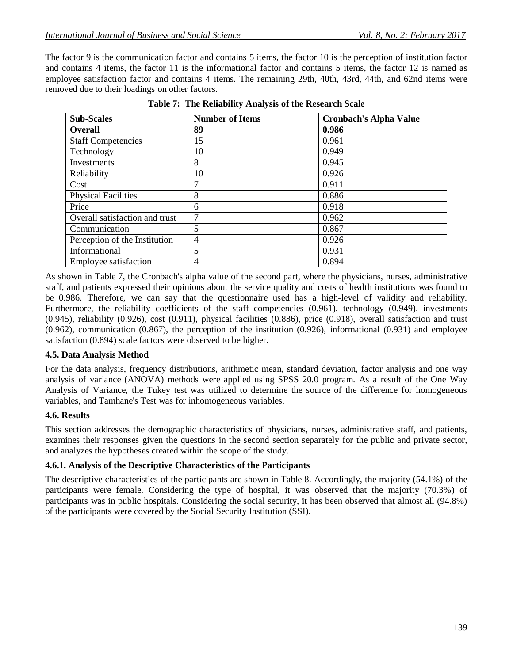The factor 9 is the communication factor and contains 5 items, the factor 10 is the perception of institution factor and contains 4 items, the factor 11 is the informational factor and contains 5 items, the factor 12 is named as employee satisfaction factor and contains 4 items. The remaining 29th, 40th, 43rd, 44th, and 62nd items were removed due to their loadings on other factors.

| <b>Sub-Scales</b>              | <b>Number of Items</b> | <b>Cronbach's Alpha Value</b> |
|--------------------------------|------------------------|-------------------------------|
| <b>Overall</b>                 | 89                     | 0.986                         |
| <b>Staff Competencies</b>      | 15                     | 0.961                         |
| Technology                     | 10                     | 0.949                         |
| Investments                    | 8                      | 0.945                         |
| Reliability                    | 10                     | 0.926                         |
| Cost                           | 7                      | 0.911                         |
| <b>Physical Facilities</b>     | 8                      | 0.886                         |
| Price                          | 6                      | 0.918                         |
| Overall satisfaction and trust | 7                      | 0.962                         |
| Communication                  | 5                      | 0.867                         |
| Perception of the Institution  | 4                      | 0.926                         |
| Informational                  | 5                      | 0.931                         |
| <b>Employee satisfaction</b>   | 4                      | 0.894                         |

**Table 7: The Reliability Analysis of the Research Scale**

As shown in Table 7, the Cronbach's alpha value of the second part, where the physicians, nurses, administrative staff, and patients expressed their opinions about the service quality and costs of health institutions was found to be 0.986. Therefore, we can say that the questionnaire used has a high-level of validity and reliability. Furthermore, the reliability coefficients of the staff competencies (0.961), technology (0.949), investments  $(0.945)$ , reliability  $(0.926)$ , cost  $(0.911)$ , physical facilities  $(0.886)$ , price  $(0.918)$ , overall satisfaction and trust (0.962), communication (0.867), the perception of the institution (0.926), informational (0.931) and employee satisfaction (0.894) scale factors were observed to be higher.

### **4.5. Data Analysis Method**

For the data analysis, frequency distributions, arithmetic mean, standard deviation, factor analysis and one way analysis of variance (ANOVA) methods were applied using SPSS 20.0 program. As a result of the One Way Analysis of Variance, the Tukey test was utilized to determine the source of the difference for homogeneous variables, and Tamhane's Test was for inhomogeneous variables.

### **4.6. Results**

This section addresses the demographic characteristics of physicians, nurses, administrative staff, and patients, examines their responses given the questions in the second section separately for the public and private sector, and analyzes the hypotheses created within the scope of the study.

### **4.6.1. Analysis of the Descriptive Characteristics of the Participants**

The descriptive characteristics of the participants are shown in Table 8. Accordingly, the majority (54.1%) of the participants were female. Considering the type of hospital, it was observed that the majority (70.3%) of participants was in public hospitals. Considering the social security, it has been observed that almost all (94.8%) of the participants were covered by the Social Security Institution (SSI).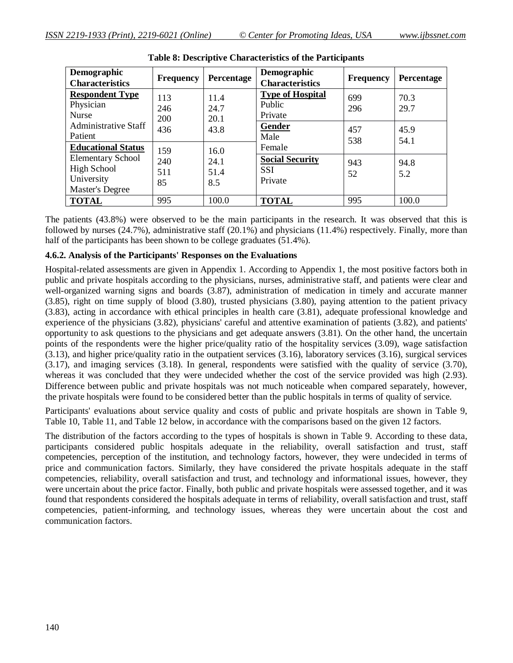| Demographic<br><b>Characteristics</b>                                           | <b>Frequency</b>  | Percentage           | Demographic<br><b>Characteristics</b>               | <b>Frequency</b> | Percentage   |
|---------------------------------------------------------------------------------|-------------------|----------------------|-----------------------------------------------------|------------------|--------------|
| <b>Respondent Type</b><br>Physician<br><b>Nurse</b>                             | 113<br>246<br>200 | 11.4<br>24.7<br>20.1 | <b>Type of Hospital</b><br><b>Public</b><br>Private | 699<br>296       | 70.3<br>29.7 |
| <b>Administrative Staff</b><br>Patient<br><b>Educational Status</b>             | 436<br>159        | 43.8<br>16.0         | Gender<br>Male<br>Female                            | 457<br>538       | 45.9<br>54.1 |
| <b>Elementary School</b><br><b>High School</b><br>University<br>Master's Degree | 240<br>511<br>85  | 24.1<br>51.4<br>8.5  | <b>Social Security</b><br><b>SSI</b><br>Private     | 943<br>52        | 94.8<br>5.2  |
| <b>TOTAL</b>                                                                    | 995               | 100.0                | <b>TOTAL</b>                                        | 995              | 100.0        |

The patients (43.8%) were observed to be the main participants in the research. It was observed that this is followed by nurses (24.7%), administrative staff (20.1%) and physicians (11.4%) respectively. Finally, more than half of the participants has been shown to be college graduates (51.4%).

### **4.6.2. Analysis of the Participants' Responses on the Evaluations**

Hospital-related assessments are given in Appendix 1. According to Appendix 1, the most positive factors both in public and private hospitals according to the physicians, nurses, administrative staff, and patients were clear and well-organized warning signs and boards (3.87), administration of medication in timely and accurate manner (3.85), right on time supply of blood (3.80), trusted physicians (3.80), paying attention to the patient privacy (3.83), acting in accordance with ethical principles in health care (3.81), adequate professional knowledge and experience of the physicians (3.82), physicians' careful and attentive examination of patients (3.82), and patients' opportunity to ask questions to the physicians and get adequate answers (3.81). On the other hand, the uncertain points of the respondents were the higher price/quality ratio of the hospitality services (3.09), wage satisfaction (3.13), and higher price/quality ratio in the outpatient services (3.16), laboratory services (3.16), surgical services (3.17), and imaging services (3.18). In general, respondents were satisfied with the quality of service (3.70), whereas it was concluded that they were undecided whether the cost of the service provided was high (2.93). Difference between public and private hospitals was not much noticeable when compared separately, however, the private hospitals were found to be considered better than the public hospitals in terms of quality of service.

Participants' evaluations about service quality and costs of public and private hospitals are shown in Table 9, Table 10, Table 11, and Table 12 below, in accordance with the comparisons based on the given 12 factors.

The distribution of the factors according to the types of hospitals is shown in Table 9. According to these data, participants considered public hospitals adequate in the reliability, overall satisfaction and trust, staff competencies, perception of the institution, and technology factors, however, they were undecided in terms of price and communication factors. Similarly, they have considered the private hospitals adequate in the staff competencies, reliability, overall satisfaction and trust, and technology and informational issues, however, they were uncertain about the price factor. Finally, both public and private hospitals were assessed together, and it was found that respondents considered the hospitals adequate in terms of reliability, overall satisfaction and trust, staff competencies, patient-informing, and technology issues, whereas they were uncertain about the cost and communication factors.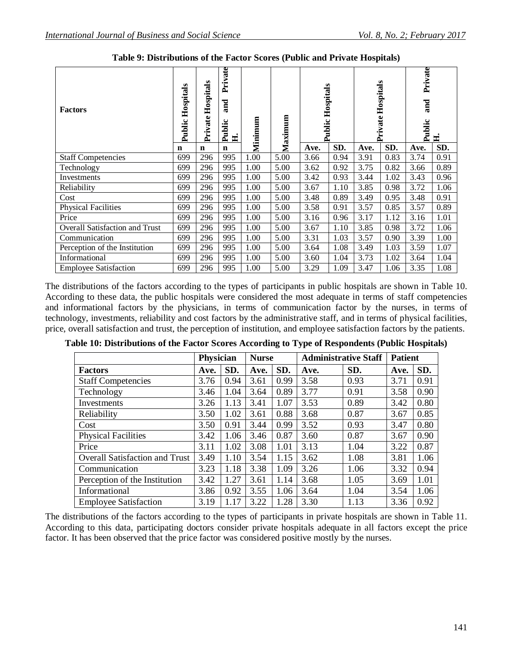| <b>Factors</b>                        | Hospitals<br>Public | Hospitals<br>Private | Private<br>and<br>Public<br>ᄇ | Minimum | Maximum | Private Hospitals<br>Hospitals<br>Public |      |      |      | Private<br>and<br>Public | 国    |
|---------------------------------------|---------------------|----------------------|-------------------------------|---------|---------|------------------------------------------|------|------|------|--------------------------|------|
|                                       | n                   | $\mathbf n$          | $\mathbf n$                   |         |         | Ave.                                     | SD.  | Ave. | SD.  | Ave.                     | SD.  |
| <b>Staff Competencies</b>             | 699                 | 296                  | 995                           | 1.00    | 5.00    | 3.66                                     | 0.94 | 3.91 | 0.83 | 3.74                     | 0.91 |
| Technology                            | 699                 | 296                  | 995                           | 1.00    | 5.00    | 3.62                                     | 0.92 | 3.75 | 0.82 | 3.66                     | 0.89 |
| Investments                           | 699                 | 296                  | 995                           | 1.00    | 5.00    | 3.42                                     | 0.93 | 3.44 | 1.02 | 3.43                     | 0.96 |
| Reliability                           | 699                 | 296                  | 995                           | 1.00    | 5.00    | 3.67                                     | 1.10 | 3.85 | 0.98 | 3.72                     | 1.06 |
| Cost                                  | 699                 | 296                  | 995                           | 1.00    | 5.00    | 3.48                                     | 0.89 | 3.49 | 0.95 | 3.48                     | 0.91 |
| <b>Physical Facilities</b>            | 699                 | 296                  | 995                           | 1.00    | 5.00    | 3.58                                     | 0.91 | 3.57 | 0.85 | 3.57                     | 0.89 |
| Price                                 | 699                 | 296                  | 995                           | 1.00    | 5.00    | 3.16                                     | 0.96 | 3.17 | 1.12 | 3.16                     | 1.01 |
| <b>Overall Satisfaction and Trust</b> | 699                 | 296                  | 995                           | 1.00    | 5.00    | 3.67                                     | 1.10 | 3.85 | 0.98 | 3.72                     | 1.06 |
| Communication                         | 699                 | 296                  | 995                           | 1.00    | 5.00    | 3.31                                     | 1.03 | 3.57 | 0.90 | 3.39                     | 1.00 |
| Perception of the Institution         | 699                 | 296                  | 995                           | 1.00    | 5.00    | 3.64                                     | 1.08 | 3.49 | 1.03 | 3.59                     | 1.07 |
| Informational                         | 699                 | 296                  | 995                           | 1.00    | 5.00    | 3.60                                     | 1.04 | 3.73 | 1.02 | 3.64                     | 1.04 |
| <b>Employee Satisfaction</b>          | 699                 | 296                  | 995                           | 1.00    | 5.00    | 3.29                                     | 1.09 | 3.47 | 1.06 | 3.35                     | 1.08 |

**Table 9: Distributions of the Factor Scores (Public and Private Hospitals)**

The distributions of the factors according to the types of participants in public hospitals are shown in Table 10. According to these data, the public hospitals were considered the most adequate in terms of staff competencies and informational factors by the physicians, in terms of communication factor by the nurses, in terms of technology, investments, reliability and cost factors by the administrative staff, and in terms of physical facilities, price, overall satisfaction and trust, the perception of institution, and employee satisfaction factors by the patients.

|                                       | <b>Physician</b> |      | <b>Nurse</b> |      | <b>Administrative Staff</b> |      | <b>Patient</b> |      |  |
|---------------------------------------|------------------|------|--------------|------|-----------------------------|------|----------------|------|--|
| <b>Factors</b>                        | Ave.             | SD.  | Ave.         | SD.  | Ave.                        | SD.  | Ave.           | SD.  |  |
| <b>Staff Competencies</b>             | 3.76             | 0.94 | 3.61         | 0.99 | 3.58                        | 0.93 | 3.71           | 0.91 |  |
| Technology                            | 3.46             | 1.04 | 3.64         | 0.89 | 3.77                        | 0.91 | 3.58           | 0.90 |  |
| Investments                           | 3.26             | 1.13 | 3.41         | 1.07 | 3.53                        | 0.89 | 3.42           | 0.80 |  |
| Reliability                           | 3.50             | 1.02 | 3.61         | 0.88 | 3.68                        | 0.87 | 3.67           | 0.85 |  |
| Cost                                  | 3.50             | 0.91 | 3.44         | 0.99 | 3.52                        | 0.93 | 3.47           | 0.80 |  |
| <b>Physical Facilities</b>            | 3.42             | 1.06 | 3.46         | 0.87 | 3.60                        | 0.87 | 3.67           | 0.90 |  |
| Price                                 | 3.11             | 1.02 | 3.08         | 1.01 | 3.13                        | 1.04 | 3.22           | 0.87 |  |
| <b>Overall Satisfaction and Trust</b> | 3.49             | 1.10 | 3.54         | 1.15 | 3.62                        | 1.08 | 3.81           | 1.06 |  |
| Communication                         | 3.23             | 1.18 | 3.38         | 1.09 | 3.26                        | 1.06 | 3.32           | 0.94 |  |
| Perception of the Institution         | 3.42             | 1.27 | 3.61         | 1.14 | 3.68                        | 1.05 | 3.69           | 1.01 |  |
| Informational                         | 3.86             | 0.92 | 3.55         | 1.06 | 3.64                        | 1.04 | 3.54           | 1.06 |  |
| <b>Employee Satisfaction</b>          | 3.19             | 1.17 | 3.22         | 1.28 | 3.30                        | 1.13 | 3.36           | 0.92 |  |

**Table 10: Distributions of the Factor Scores According to Type of Respondents (Public Hospitals)**

The distributions of the factors according to the types of participants in private hospitals are shown in Table 11. According to this data, participating doctors consider private hospitals adequate in all factors except the price factor. It has been observed that the price factor was considered positive mostly by the nurses.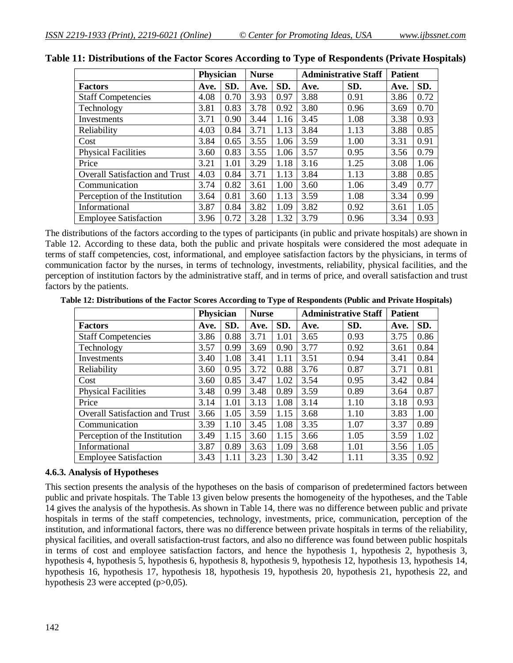|                                       | <b>Physician</b> |      | <b>Nurse</b> |      | <b>Administrative Staff</b> |      | <b>Patient</b> |      |
|---------------------------------------|------------------|------|--------------|------|-----------------------------|------|----------------|------|
| <b>Factors</b>                        | Ave.             | SD.  | Ave.         | SD.  | Ave.                        | SD.  | Ave.           | SD.  |
| <b>Staff Competencies</b>             | 4.08             | 0.70 | 3.93         | 0.97 | 3.88                        | 0.91 | 3.86           | 0.72 |
| Technology                            | 3.81             | 0.83 | 3.78         | 0.92 | 3.80                        | 0.96 | 3.69           | 0.70 |
| Investments                           | 3.71             | 0.90 | 3.44         | 1.16 | 3.45                        | 1.08 | 3.38           | 0.93 |
| Reliability                           | 4.03             | 0.84 | 3.71         | 1.13 | 3.84                        | 1.13 | 3.88           | 0.85 |
| Cost                                  | 3.84             | 0.65 | 3.55         | 1.06 | 3.59                        | 1.00 | 3.31           | 0.91 |
| <b>Physical Facilities</b>            | 3.60             | 0.83 | 3.55         | 1.06 | 3.57                        | 0.95 | 3.56           | 0.79 |
| Price                                 | 3.21             | 1.01 | 3.29         | 1.18 | 3.16                        | 1.25 | 3.08           | 1.06 |
| <b>Overall Satisfaction and Trust</b> | 4.03             | 0.84 | 3.71         | 1.13 | 3.84                        | 1.13 | 3.88           | 0.85 |
| Communication                         | 3.74             | 0.82 | 3.61         | 1.00 | 3.60                        | 1.06 | 3.49           | 0.77 |
| Perception of the Institution         | 3.64             | 0.81 | 3.60         | 1.13 | 3.59                        | 1.08 | 3.34           | 0.99 |
| Informational                         | 3.87             | 0.84 | 3.82         | 1.09 | 3.82                        | 0.92 | 3.61           | 1.05 |
| <b>Employee Satisfaction</b>          | 3.96             | 0.72 | 3.28         | 1.32 | 3.79                        | 0.96 | 3.34           | 0.93 |

The distributions of the factors according to the types of participants (in public and private hospitals) are shown in Table 12. According to these data, both the public and private hospitals were considered the most adequate in terms of staff competencies, cost, informational, and employee satisfaction factors by the physicians, in terms of communication factor by the nurses, in terms of technology, investments, reliability, physical facilities, and the perception of institution factors by the administrative staff, and in terms of price, and overall satisfaction and trust factors by the patients.

**Table 12: Distributions of the Factor Scores According to Type of Respondents (Public and Private Hospitals)**

|                                       | <b>Physician</b> |      | <b>Nurse</b> |      | <b>Administrative Staff</b> |      | <b>Patient</b> |      |
|---------------------------------------|------------------|------|--------------|------|-----------------------------|------|----------------|------|
| <b>Factors</b>                        | Ave.             | SD.  | Ave.         | SD.  | Ave.                        | SD.  | Ave.           | SD.  |
| <b>Staff Competencies</b>             | 3.86             | 0.88 | 3.71         | 1.01 | 3.65                        | 0.93 | 3.75           | 0.86 |
| Technology                            | 3.57             | 0.99 | 3.69         | 0.90 | 3.77                        | 0.92 | 3.61           | 0.84 |
| Investments                           | 3.40             | 1.08 | 3.41         | 1.11 | 3.51                        | 0.94 | 3.41           | 0.84 |
| Reliability                           | 3.60             | 0.95 | 3.72         | 0.88 | 3.76                        | 0.87 | 3.71           | 0.81 |
| Cost                                  | 3.60             | 0.85 | 3.47         | 1.02 | 3.54                        | 0.95 | 3.42           | 0.84 |
| <b>Physical Facilities</b>            | 3.48             | 0.99 | 3.48         | 0.89 | 3.59                        | 0.89 | 3.64           | 0.87 |
| Price                                 | 3.14             | 1.01 | 3.13         | 1.08 | 3.14                        | 1.10 | 3.18           | 0.93 |
| <b>Overall Satisfaction and Trust</b> | 3.66             | 1.05 | 3.59         | 1.15 | 3.68                        | 1.10 | 3.83           | 1.00 |
| Communication                         | 3.39             | 1.10 | 3.45         | 1.08 | 3.35                        | 1.07 | 3.37           | 0.89 |
| Perception of the Institution         | 3.49             | 1.15 | 3.60         | 1.15 | 3.66                        | 1.05 | 3.59           | 1.02 |
| Informational                         | 3.87             | 0.89 | 3.63         | 1.09 | 3.68                        | 1.01 | 3.56           | 1.05 |
| <b>Employee Satisfaction</b>          | 3.43             | 1.11 | 3.23         | 1.30 | 3.42                        | 1.11 | 3.35           | 0.92 |

### **4.6.3. Analysis of Hypotheses**

This section presents the analysis of the hypotheses on the basis of comparison of predetermined factors between public and private hospitals. The Table 13 given below presents the homogeneity of the hypotheses, and the Table 14 gives the analysis of the hypothesis. As shown in Table 14, there was no difference between public and private hospitals in terms of the staff competencies, technology, investments, price, communication, perception of the institution, and informational factors, there was no difference between private hospitals in terms of the reliability, physical facilities, and overall satisfaction-trust factors, and also no difference was found between public hospitals in terms of cost and employee satisfaction factors, and hence the hypothesis 1, hypothesis 2, hypothesis 3, hypothesis 4, hypothesis 5, hypothesis 6, hypothesis 8, hypothesis 9, hypothesis 12, hypothesis 13, hypothesis 14, hypothesis 16, hypothesis 17, hypothesis 18, hypothesis 19, hypothesis 20, hypothesis 21, hypothesis 22, and hypothesis 23 were accepted (p>0,05).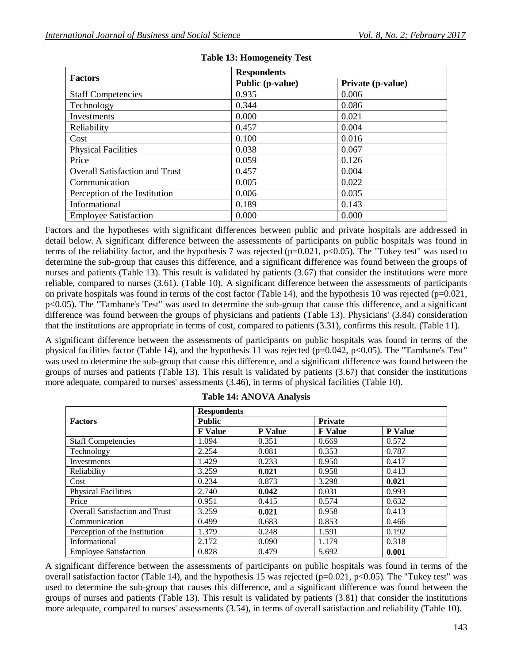| <b>Factors</b>                        | <b>Respondents</b> |                   |  |  |  |  |  |  |
|---------------------------------------|--------------------|-------------------|--|--|--|--|--|--|
|                                       | Public (p-value)   | Private (p-value) |  |  |  |  |  |  |
| <b>Staff Competencies</b>             | 0.935              | 0.006             |  |  |  |  |  |  |
| Technology                            | 0.344              | 0.086             |  |  |  |  |  |  |
| Investments                           | 0.000              | 0.021             |  |  |  |  |  |  |
| Reliability                           | 0.457              | 0.004             |  |  |  |  |  |  |
| Cost                                  | 0.100              | 0.016             |  |  |  |  |  |  |
| <b>Physical Facilities</b>            | 0.038              | 0.067             |  |  |  |  |  |  |
| Price                                 | 0.059              | 0.126             |  |  |  |  |  |  |
| <b>Overall Satisfaction and Trust</b> | 0.457              | 0.004             |  |  |  |  |  |  |
| Communication                         | 0.005              | 0.022             |  |  |  |  |  |  |
| Perception of the Institution         | 0.006              | 0.035             |  |  |  |  |  |  |
| Informational                         | 0.189              | 0.143             |  |  |  |  |  |  |
| <b>Employee Satisfaction</b>          | 0.000              | 0.000             |  |  |  |  |  |  |

|  |  | <b>Table 13: Homogeneity Test</b> |  |
|--|--|-----------------------------------|--|
|--|--|-----------------------------------|--|

Factors and the hypotheses with significant differences between public and private hospitals are addressed in detail below. A significant difference between the assessments of participants on public hospitals was found in terms of the reliability factor, and the hypothesis 7 was rejected  $(p=0.021, p<0.05)$ . The "Tukey test" was used to determine the sub-group that causes this difference, and a significant difference was found between the groups of nurses and patients (Table 13). This result is validated by patients (3.67) that consider the institutions were more reliable, compared to nurses (3.61). (Table 10). A significant difference between the assessments of participants on private hospitals was found in terms of the cost factor (Table 14), and the hypothesis 10 was rejected  $(p=0.021,$ p<0.05). The "Tamhane's Test" was used to determine the sub-group that cause this difference, and a significant difference was found between the groups of physicians and patients (Table 13). Physicians' (3.84) consideration that the institutions are appropriate in terms of cost, compared to patients (3.31), confirms this result. (Table 11).

A significant difference between the assessments of participants on public hospitals was found in terms of the physical facilities factor (Table 14), and the hypothesis 11 was rejected ( $p=0.042$ ,  $p<0.05$ ). The "Tamhane's Test" was used to determine the sub-group that cause this difference, and a significant difference was found between the groups of nurses and patients (Table 13). This result is validated by patients (3.67) that consider the institutions more adequate, compared to nurses' assessments (3.46), in terms of physical facilities (Table 10).

|                                       | <b>Respondents</b> |                |                |                |  |  |  |  |  |  |
|---------------------------------------|--------------------|----------------|----------------|----------------|--|--|--|--|--|--|
| <b>Factors</b>                        | <b>Public</b>      |                | <b>Private</b> |                |  |  |  |  |  |  |
|                                       | <b>F</b> Value     | <b>P</b> Value | <b>F</b> Value | <b>P</b> Value |  |  |  |  |  |  |
| <b>Staff Competencies</b>             | 1.094              | 0.351          | 0.669          | 0.572          |  |  |  |  |  |  |
| Technology                            | 2.254              | 0.081          | 0.353          | 0.787          |  |  |  |  |  |  |
| Investments                           | 1.429              | 0.233          | 0.950          | 0.417          |  |  |  |  |  |  |
| Reliability                           | 3.259              | 0.021          | 0.958          | 0.413          |  |  |  |  |  |  |
| Cost                                  | 0.234              | 0.873          | 3.298          | 0.021          |  |  |  |  |  |  |
| <b>Physical Facilities</b>            | 2.740              | 0.042          | 0.031          | 0.993          |  |  |  |  |  |  |
| Price                                 | 0.951              | 0.415          | 0.574          | 0.632          |  |  |  |  |  |  |
| <b>Overall Satisfaction and Trust</b> | 3.259              | 0.021          | 0.958          | 0.413          |  |  |  |  |  |  |
| Communication                         | 0.499              | 0.683          | 0.853          | 0.466          |  |  |  |  |  |  |
| Perception of the Institution         | 1.379              | 0.248          | 1.591          | 0.192          |  |  |  |  |  |  |
| Informational                         | 2.172              | 0.090          | 1.179          | 0.318          |  |  |  |  |  |  |
| <b>Employee Satisfaction</b>          | 0.828              | 0.479          | 5.692          | 0.001          |  |  |  |  |  |  |

|  |  |  |  | <b>Table 14: ANOVA Analysis</b> |
|--|--|--|--|---------------------------------|
|--|--|--|--|---------------------------------|

A significant difference between the assessments of participants on public hospitals was found in terms of the overall satisfaction factor (Table 14), and the hypothesis 15 was rejected ( $p=0.021$ ,  $p<0.05$ ). The "Tukey test" was used to determine the sub-group that causes this difference, and a significant difference was found between the groups of nurses and patients (Table 13). This result is validated by patients (3.81) that consider the institutions more adequate, compared to nurses' assessments (3.54), in terms of overall satisfaction and reliability (Table 10).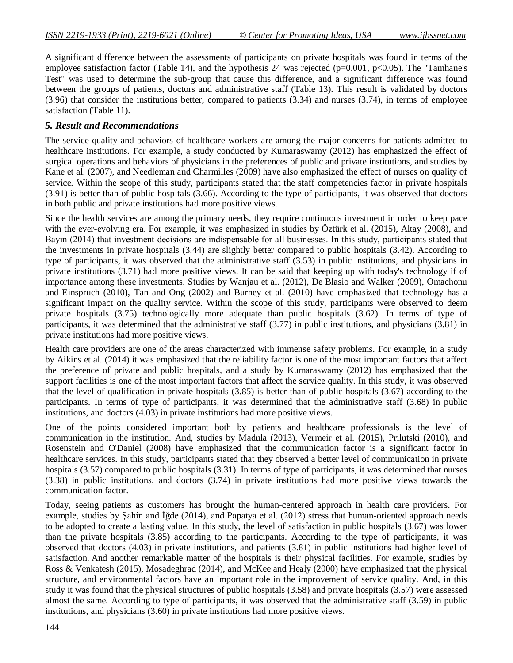A significant difference between the assessments of participants on private hospitals was found in terms of the employee satisfaction factor (Table 14), and the hypothesis 24 was rejected (p=0.001, p<0.05). The "Tamhane's Test" was used to determine the sub-group that cause this difference, and a significant difference was found between the groups of patients, doctors and administrative staff (Table 13). This result is validated by doctors (3.96) that consider the institutions better, compared to patients (3.34) and nurses (3.74), in terms of employee satisfaction (Table 11).

### *5. Result and Recommendations*

The service quality and behaviors of healthcare workers are among the major concerns for patients admitted to healthcare institutions. For example, a study conducted by Kumaraswamy (2012) has emphasized the effect of surgical operations and behaviors of physicians in the preferences of public and private institutions, and studies by Kane et al. (2007), and Needleman and Charmilles (2009) have also emphasized the effect of nurses on quality of service. Within the scope of this study, participants stated that the staff competencies factor in private hospitals (3.91) is better than of public hospitals (3.66). According to the type of participants, it was observed that doctors in both public and private institutions had more positive views.

Since the health services are among the primary needs, they require continuous investment in order to keep pace with the ever-evolving era. For example, it was emphasized in studies by Öztürk et al. (2015), Altay (2008), and Bayın (2014) that investment decisions are indispensable for all businesses. In this study, participants stated that the investments in private hospitals (3.44) are slightly better compared to public hospitals (3.42). According to type of participants, it was observed that the administrative staff (3.53) in public institutions, and physicians in private institutions (3.71) had more positive views. It can be said that keeping up with today's technology if of importance among these investments. Studies by Wanjau et al. (2012), De Blasio and Walker (2009), Omachonu and Einspruch (2010), Tan and Ong (2002) and Burney et al. (2010) have emphasized that technology has a significant impact on the quality service. Within the scope of this study, participants were observed to deem private hospitals (3.75) technologically more adequate than public hospitals (3.62). In terms of type of participants, it was determined that the administrative staff (3.77) in public institutions, and physicians (3.81) in private institutions had more positive views.

Health care providers are one of the areas characterized with immense safety problems. For example, in a study by Aikins et al. (2014) it was emphasized that the reliability factor is one of the most important factors that affect the preference of private and public hospitals, and a study by Kumaraswamy (2012) has emphasized that the support facilities is one of the most important factors that affect the service quality. In this study, it was observed that the level of qualification in private hospitals (3.85) is better than of public hospitals (3.67) according to the participants. In terms of type of participants, it was determined that the administrative staff (3.68) in public institutions, and doctors (4.03) in private institutions had more positive views.

One of the points considered important both by patients and healthcare professionals is the level of communication in the institution. And, studies by Madula (2013), Vermeir et al. (2015), Prilutski (2010), and Rosenstein and O'Daniel (2008) have emphasized that the communication factor is a significant factor in healthcare services. In this study, participants stated that they observed a better level of communication in private hospitals (3.57) compared to public hospitals (3.31). In terms of type of participants, it was determined that nurses (3.38) in public institutions, and doctors (3.74) in private institutions had more positive views towards the communication factor.

Today, seeing patients as customers has brought the human-centered approach in health care providers. For example, studies by Şahin and İğde (2014), and Papatya et al. (2012) stress that human-oriented approach needs to be adopted to create a lasting value. In this study, the level of satisfaction in public hospitals (3.67) was lower than the private hospitals (3.85) according to the participants. According to the type of participants, it was observed that doctors (4.03) in private institutions, and patients (3.81) in public institutions had higher level of satisfaction. And another remarkable matter of the hospitals is their physical facilities. For example, studies by Ross & Venkatesh (2015), Mosadeghrad (2014), and McKee and Healy (2000) have emphasized that the physical structure, and environmental factors have an important role in the improvement of service quality. And, in this study it was found that the physical structures of public hospitals (3.58) and private hospitals (3.57) were assessed almost the same. According to type of participants, it was observed that the administrative staff (3.59) in public institutions, and physicians (3.60) in private institutions had more positive views.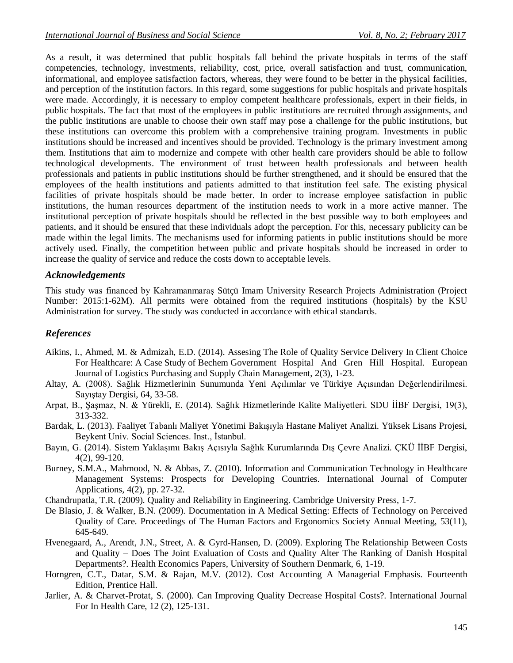As a result, it was determined that public hospitals fall behind the private hospitals in terms of the staff competencies, technology, investments, reliability, cost, price, overall satisfaction and trust, communication, informational, and employee satisfaction factors, whereas, they were found to be better in the physical facilities, and perception of the institution factors. In this regard, some suggestions for public hospitals and private hospitals were made. Accordingly, it is necessary to employ competent healthcare professionals, expert in their fields, in public hospitals. The fact that most of the employees in public institutions are recruited through assignments, and the public institutions are unable to choose their own staff may pose a challenge for the public institutions, but these institutions can overcome this problem with a comprehensive training program. Investments in public institutions should be increased and incentives should be provided. Technology is the primary investment among them. Institutions that aim to modernize and compete with other health care providers should be able to follow technological developments. The environment of trust between health professionals and between health professionals and patients in public institutions should be further strengthened, and it should be ensured that the employees of the health institutions and patients admitted to that institution feel safe. The existing physical facilities of private hospitals should be made better. In order to increase employee satisfaction in public institutions, the human resources department of the institution needs to work in a more active manner. The institutional perception of private hospitals should be reflected in the best possible way to both employees and patients, and it should be ensured that these individuals adopt the perception. For this, necessary publicity can be made within the legal limits. The mechanisms used for informing patients in public institutions should be more actively used. Finally, the competition between public and private hospitals should be increased in order to increase the quality of service and reduce the costs down to acceptable levels.

### *Acknowledgements*

This study was financed by Kahramanmaraş Sütçü Imam University Research Projects Administration (Project Number: 2015:1-62M). All permits were obtained from the required institutions (hospitals) by the KSU Administration for survey. The study was conducted in accordance with ethical standards.

### *References*

- Aikins, I., Ahmed, M. & Admizah, E.D. (2014). Assesing The Role of Quality Service Delivery In Client Choice For Healthcare: A Case Study of Bechem Government Hospital And Gren Hill Hospital. European Journal of Logistics Purchasing and Supply Chain Management, 2(3), 1-23.
- Altay, A. (2008). Sağlık Hizmetlerinin Sunumunda Yeni Açılımlar ve Türkiye Açısından Değerlendirilmesi. Sayıştay Dergisi, 64, 33-58.
- Arpat, B., Şaşmaz, N. & Yürekli, E. (2014). Sağlık Hizmetlerinde Kalite Maliyetleri. SDU İİBF Dergisi, 19(3), 313-332.
- Bardak, L. (2013). Faaliyet Tabanlı Maliyet Yönetimi Bakışıyla Hastane Maliyet Analizi. Yüksek Lisans Projesi, Beykent Univ. Social Sciences. Inst., İstanbul.
- Bayın, G. (2014). Sistem Yaklaşımı Bakış Açısıyla Sağlık Kurumlarında Dış Çevre Analizi. ÇKÜ İİBF Dergisi, 4(2), 99-120.
- Burney, S.M.A., Mahmood, N. & Abbas, Z. (2010). Information and Communication Technology in Healthcare Management Systems: Prospects for Developing Countries. International Journal of Computer Applications, 4(2), pp. 27-32.
- Chandrupatla, T.R. (2009). Quality and Reliability in Engineering. Cambridge University Press, 1-7.
- De Blasio, J. & Walker, B.N. (2009). Documentation in A Medical Setting: Effects of Technology on Perceived Quality of Care. Proceedings of The Human Factors and Ergonomics Society Annual Meeting, 53(11), 645-649.
- Hvenegaard, A., Arendt, J.N., Street, A. & Gyrd-Hansen, D. (2009). Exploring The Relationship Between Costs and Quality – Does The Joint Evaluation of Costs and Quality Alter The Ranking of Danish Hospital Departments?. Health Economics Papers, University of Southern Denmark, 6, 1-19.
- Horngren, C.T., Datar, S.M. & Rajan, M.V. (2012). Cost Accounting A Managerial Emphasis. Fourteenth Edition, Prentice Hall.
- Jarlier, A. & Charvet-Protat, S. (2000). Can Improving Quality Decrease Hospital Costs?. International Journal For In Health Care, 12 (2), 125-131.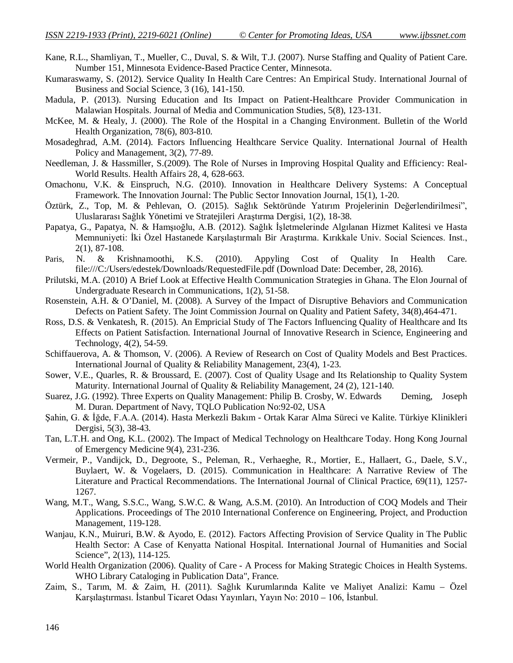- Kane, R.L., Shamliyan, T., Mueller, C., Duval, S. & Wilt, T.J. (2007). Nurse Staffing and Quality of Patient Care. Number 151, Minnesota Evidence-Based Practice Center, Minnesota.
- Kumaraswamy, S. (2012). Service Quality In Health Care Centres: An Empirical Study. International Journal of Business and Social Science, 3 (16), 141-150.
- Madula, P. (2013). Nursing Education and Its Impact on Patient-Healthcare Provider Communication in Malawian Hospitals. Journal of Media and Communication Studies, 5(8), 123-131.
- McKee, M. & Healy, J. (2000). The Role of the Hospital in a Changing Environment. Bulletin of the World Health Organization, 78(6), 803-810.
- Mosadeghrad, A.M. (2014). Factors Influencing Healthcare Service Quality. International Journal of Health Policy and Management, 3(2), 77-89.
- Needleman, J. & Hassmiller, S.(2009). The Role of Nurses in Improving Hospital Quality and Efficiency: Real-World Results. Health Affairs 28, 4, 628-663.
- Omachonu, V.K. & Einspruch, N.G. (2010). Innovation in Healthcare Delivery Systems: A Conceptual Framework. The Innovation Journal: The Public Sector Innovation Journal, 15(1), 1-20.
- Öztürk, Z., Top, M. & Pehlevan, O. (2015). Sağlık Sektöründe Yatırım Projelerinin Değerlendirilmesi", Uluslararası Sağlık Yönetimi ve Stratejileri Araştırma Dergisi, 1(2), 18-38.
- Papatya, G., Papatya, N. & Hamşıoğlu, A.B. (2012). Sağlık İşletmelerinde Algılanan Hizmet Kalitesi ve Hasta Memnuniyeti: İki Özel Hastanede Karşılaştırmalı Bir Araştırma. Kırıkkale Univ. Social Sciences. Inst., 2(1), 87-108.<br>N. & Krishnamoothi, K.S. (2010).
- Paris, N. & Krishnamoothi, K.S. (2010). Appyling Cost of Quality In Health Care. file:///C:/Users/edestek/Downloads/RequestedFile.pdf (Download Date: December, 28, 2016).
- Prilutski, M.A. (2010) A Brief Look at Effective Health Communication Strategies in Ghana. The Elon Journal of Undergraduate Research in Communications, 1(2), 51-58.
- Rosenstein, A.H. & O'Daniel, M. (2008). A Survey of the Impact of Disruptive Behaviors and Communication Defects on Patient Safety. The Joint Commission Journal on Quality and Patient Safety, 34(8),464-471.
- Ross, D.S. & Venkatesh, R. (2015). An Empricial Study of The Factors Influencing Quality of Healthcare and Its Effects on Patient Satisfaction. International Journal of Innovative Research in Science, Engineering and Technology, 4(2), 54-59.
- Schiffauerova, A. & Thomson, V. (2006). A Review of Research on Cost of Quality Models and Best Practices. International Journal of Quality & Reliability Management, 23(4), 1-23.
- Sower, V.E., Quarles, R. & Broussard, E. (2007). Cost of Quality Usage and Its Relationship to Quality System Maturity. International Journal of Quality & Reliability Management, 24 (2), 121-140.
- Suarez, J.G. (1992). Three Experts on Quality Management: Philip B. Crosby, W. Edwards Deming, Joseph M. Duran. Department of Navy, TQLO Publication No:92-02, USA
- Şahin, G. & İğde, F.A.A. (2014). Hasta Merkezli Bakım Ortak Karar Alma Süreci ve Kalite. Türkiye Klinikleri Dergisi, 5(3), 38-43.
- Tan, L.T.H. and Ong, K.L. (2002). The Impact of Medical Technology on Healthcare Today. Hong Kong Journal of Emergency Medicine 9(4), 231-236.
- Vermeir, P., Vandijck, D., Degroote, S., Peleman, R., Verhaeghe, R., Mortier, E., Hallaert, G., Daele, S.V., Buylaert, W. & Vogelaers, D. (2015). Communication in Healthcare: A Narrative Review of The Literature and Practical Recommendations. The International Journal of Clinical Practice, 69(11), 1257- 1267.
- Wang, M.T., Wang, S.S.C., Wang, S.W.C. & Wang, A.S.M. (2010). An Introduction of COQ Models and Their Applications. Proceedings of The 2010 International Conference on Engineering, Project, and Production Management, 119-128.
- Wanjau, K.N., Muiruri, B.W. & Ayodo, E. (2012). Factors Affecting Provision of Service Quality in The Public Health Sector: A Case of Kenyatta National Hospital. International Journal of Humanities and Social Science", 2(13), 114-125.
- World Health Organization (2006). Quality of Care A Process for Making Strategic Choices in Health Systems. WHO Library Cataloging in Publication Data", France.
- Zaim, S., Tarım, M. & Zaim, H. (2011). Sağlık Kurumlarında Kalite ve Maliyet Analizi: Kamu Özel Karşılaştırması. İstanbul Ticaret Odası Yayınları, Yayın No: 2010 – 106, İstanbul.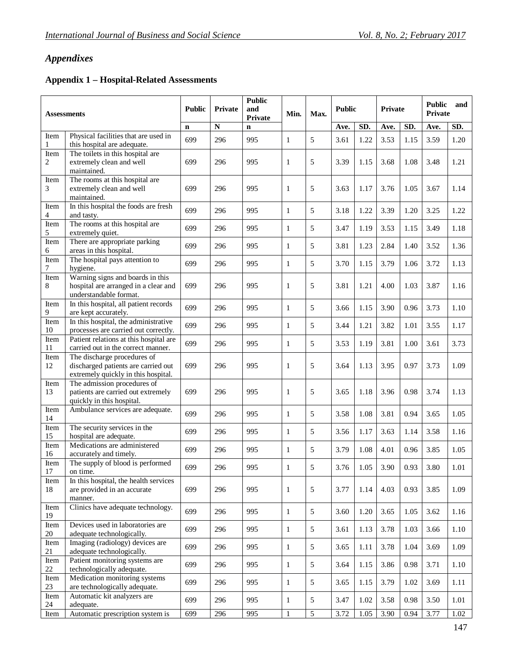# *Appendixes*

# **Appendix 1 – Hospital-Related Assessments**

| <b>Assessments</b>     |                                                                                                           | <b>Public</b> | <b>Private</b> | <b>Public</b><br>and<br><b>Private</b> | Min.         | Max. | <b>Public</b> |      | <b>Private</b> |      | <b>Public</b><br>and<br>Private |      |
|------------------------|-----------------------------------------------------------------------------------------------------------|---------------|----------------|----------------------------------------|--------------|------|---------------|------|----------------|------|---------------------------------|------|
|                        |                                                                                                           | $\mathbf n$   | $\mathbf N$    | n                                      |              |      | Ave.          | SD.  | Ave.           | SD.  | Ave.                            | SD.  |
| Item<br>1              | Physical facilities that are used in<br>this hospital are adequate.                                       | 699           | 296            | 995                                    | $\mathbf{1}$ | 5    | 3.61          | 1.22 | 3.53           | 1.15 | 3.59                            | 1.20 |
| Item<br>$\overline{c}$ | The toilets in this hospital are<br>extremely clean and well<br>maintained.                               | 699           | 296            | 995                                    | 1            | 5    | 3.39          | 1.15 | 3.68           | 1.08 | 3.48                            | 1.21 |
| Item<br>3              | The rooms at this hospital are<br>extremely clean and well<br>maintained.                                 | 699           | 296            | 995                                    | 1            | 5    | 3.63          | 1.17 | 3.76           | 1.05 | 3.67                            | 1.14 |
| Item<br>4              | In this hospital the foods are fresh<br>and tasty.                                                        | 699           | 296            | 995                                    | $\mathbf{1}$ | 5    | 3.18          | 1.22 | 3.39           | 1.20 | 3.25                            | 1.22 |
| Item<br>5              | The rooms at this hospital are<br>extremely quiet.                                                        | 699           | 296            | 995                                    | $\mathbf{1}$ | 5    | 3.47          | 1.19 | 3.53           | 1.15 | 3.49                            | 1.18 |
| Item<br>6              | There are appropriate parking<br>areas in this hospital.                                                  | 699           | 296            | 995                                    | $\mathbf{1}$ | 5    | 3.81          | 1.23 | 2.84           | 1.40 | 3.52                            | 1.36 |
| Item<br>7              | The hospital pays attention to<br>hygiene.                                                                | 699           | 296            | 995                                    | $\mathbf{1}$ | 5    | 3.70          | 1.15 | 3.79           | 1.06 | 3.72                            | 1.13 |
| Item<br>8              | Warning signs and boards in this<br>hospital are arranged in a clear and<br>understandable format.        | 699           | 296            | 995                                    | $\mathbf{1}$ | 5    | 3.81          | 1.21 | 4.00           | 1.03 | 3.87                            | 1.16 |
| Item<br>9              | In this hospital, all patient records<br>are kept accurately.                                             | 699           | 296            | 995                                    | $\mathbf{1}$ | 5    | 3.66          | 1.15 | 3.90           | 0.96 | 3.73                            | 1.10 |
| Item<br>10             | In this hospital, the administrative<br>processes are carried out correctly.                              | 699           | 296            | 995                                    | $\mathbf{1}$ | 5    | 3.44          | 1.21 | 3.82           | 1.01 | 3.55                            | 1.17 |
| Item<br>11             | Patient relations at this hospital are<br>carried out in the correct manner.                              | 699           | 296            | 995                                    | $\mathbf{1}$ | 5    | 3.53          | 1.19 | 3.81           | 1.00 | 3.61                            | 3.73 |
| <b>Item</b><br>12      | The discharge procedures of<br>discharged patients are carried out<br>extremely quickly in this hospital. | 699           | 296            | 995                                    | 1            | 5    | 3.64          | 1.13 | 3.95           | 0.97 | 3.73                            | 1.09 |
| Item<br>13             | The admission procedures of<br>patients are carried out extremely<br>quickly in this hospital.            | 699           | 296            | 995                                    | $\mathbf{1}$ | 5    | 3.65          | 1.18 | 3.96           | 0.98 | 3.74                            | 1.13 |
| Item<br>14             | Ambulance services are adequate.                                                                          | 699           | 296            | 995                                    | 1            | 5    | 3.58          | 1.08 | 3.81           | 0.94 | 3.65                            | 1.05 |
| <b>I</b> tem<br>15     | The security services in the<br>hospital are adequate.                                                    | 699           | 296            | 995                                    | $\mathbf{1}$ | 5    | 3.56          | 1.17 | 3.63           | 1.14 | 3.58                            | 1.16 |
| Item<br>16             | Medications are administered<br>accurately and timely.                                                    | 699           | 296            | 995                                    | $\mathbf{1}$ | 5    | 3.79          | 1.08 | 4.01           | 0.96 | 3.85                            | 1.05 |
| Item<br>17             | The supply of blood is performed<br>on time.                                                              | 699           | 296            | 995                                    | 1            | 5    | 3.76          | 1.05 | 3.90           | 0.93 | 3.80                            | 1.01 |
| Item<br>18             | In this hospital, the health services<br>are provided in an accurate<br>manner.                           | 699           | 296            | 995                                    | 1            | 5    | 3.77          | 1.14 | 4.03           | 0.93 | 3.85                            | 1.09 |
| Item<br>19             | Clinics have adequate technology.                                                                         | 699           | 296            | 995                                    | $\mathbf{1}$ | 5    | 3.60          | 1.20 | 3.65           | 1.05 | 3.62                            | 1.16 |
| Item<br>20             | Devices used in laboratories are<br>adequate technologically.                                             | 699           | 296            | 995                                    | $\mathbf{1}$ | 5    | 3.61          | 1.13 | 3.78           | 1.03 | 3.66                            | 1.10 |
| Item<br>21             | Imaging (radiology) devices are<br>adequate technologically.                                              | 699           | 296            | 995                                    | $\mathbf{1}$ | 5    | 3.65          | 1.11 | 3.78           | 1.04 | 3.69                            | 1.09 |
| Item<br>22             | Patient monitoring systems are<br>technologically adequate.                                               | 699           | 296            | 995                                    | $\mathbf{1}$ | 5    | 3.64          | 1.15 | 3.86           | 0.98 | 3.71                            | 1.10 |
| Item<br>23             | Medication monitoring systems<br>are technologically adequate.                                            | 699           | 296            | 995                                    | $\mathbf{1}$ | 5    | 3.65          | 1.15 | 3.79           | 1.02 | 3.69                            | 1.11 |
| Item<br>24             | Automatic kit analyzers are<br>adequate.                                                                  | 699           | 296            | 995                                    | $\mathbf{1}$ | 5    | 3.47          | 1.02 | 3.58           | 0.98 | 3.50                            | 1.01 |
| Item                   | Automatic prescription system is                                                                          | 699           | 296            | 995                                    | $\,1\,$      | 5    | 3.72          | 1.05 | 3.90           | 0.94 | 3.77                            | 1.02 |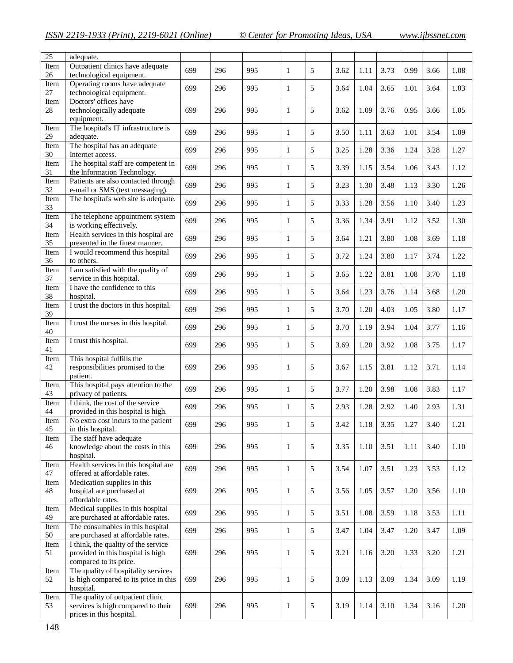| 25             | adequate.                                                                                          |     |     |     |              |                |      |      |      |      |      |      |
|----------------|----------------------------------------------------------------------------------------------------|-----|-----|-----|--------------|----------------|------|------|------|------|------|------|
| Item<br>26     | Outpatient clinics have adequate<br>technological equipment.                                       | 699 | 296 | 995 | $\mathbf{1}$ | 5              | 3.62 | 1.11 | 3.73 | 0.99 | 3.66 | 1.08 |
| Item<br>27     | Operating rooms have adequate<br>technological equipment.                                          | 699 | 296 | 995 | $\mathbf{1}$ | 5              | 3.64 | 1.04 | 3.65 | 1.01 | 3.64 | 1.03 |
| Item<br>28     | Doctors' offices have<br>technologically adequate<br>equipment.                                    | 699 | 296 | 995 | $\mathbf{1}$ | 5              | 3.62 | 1.09 | 3.76 | 0.95 | 3.66 | 1.05 |
| Item<br>29     | The hospital's IT infrastructure is<br>adequate.                                                   | 699 | 296 | 995 | $\mathbf{1}$ | 5              | 3.50 | 1.11 | 3.63 | 1.01 | 3.54 | 1.09 |
| Item<br>$30\,$ | The hospital has an adequate<br>Internet access.                                                   | 699 | 296 | 995 | $\mathbf{1}$ | 5              | 3.25 | 1.28 | 3.36 | 1.24 | 3.28 | 1.27 |
| Item<br>31     | The hospital staff are competent in<br>the Information Technology.                                 | 699 | 296 | 995 | 1            | 5              | 3.39 | 1.15 | 3.54 | 1.06 | 3.43 | 1.12 |
| Item<br>32     | Patients are also contacted through<br>e-mail or SMS (text messaging).                             | 699 | 296 | 995 | $\mathbf{1}$ | 5              | 3.23 | 1.30 | 3.48 | 1.13 | 3.30 | 1.26 |
| Item<br>33     | The hospital's web site is adequate.                                                               | 699 | 296 | 995 | $\mathbf{1}$ | 5              | 3.33 | 1.28 | 3.56 | 1.10 | 3.40 | 1.23 |
| Item<br>34     | The telephone appointment system<br>is working effectively.                                        | 699 | 296 | 995 | $\mathbf{1}$ | 5              | 3.36 | 1.34 | 3.91 | 1.12 | 3.52 | 1.30 |
| Item<br>35     | Health services in this hospital are<br>presented in the finest manner.                            | 699 | 296 | 995 | $\mathbf{1}$ | 5              | 3.64 | 1.21 | 3.80 | 1.08 | 3.69 | 1.18 |
| Item<br>36     | I would recommend this hospital<br>to others.                                                      | 699 | 296 | 995 | $\mathbf{1}$ | 5              | 3.72 | 1.24 | 3.80 | 1.17 | 3.74 | 1.22 |
| Item<br>37     | I am satisfied with the quality of<br>service in this hospital.                                    | 699 | 296 | 995 | $\mathbf{1}$ | 5              | 3.65 | 1.22 | 3.81 | 1.08 | 3.70 | 1.18 |
| Item<br>38     | I have the confidence to this<br>hospital.                                                         | 699 | 296 | 995 | $\mathbf{1}$ | 5              | 3.64 | 1.23 | 3.76 | 1.14 | 3.68 | 1.20 |
| Item<br>39     | I trust the doctors in this hospital.                                                              | 699 | 296 | 995 | $\mathbf{1}$ | 5              | 3.70 | 1.20 | 4.03 | 1.05 | 3.80 | 1.17 |
| Item<br>40     | I trust the nurses in this hospital.                                                               | 699 | 296 | 995 | $\mathbf{1}$ | 5              | 3.70 | 1.19 | 3.94 | 1.04 | 3.77 | 1.16 |
| Item<br>41     | I trust this hospital.                                                                             | 699 | 296 | 995 | $\mathbf{1}$ | 5              | 3.69 | 1.20 | 3.92 | 1.08 | 3.75 | 1.17 |
| Item<br>42     | This hospital fulfills the<br>responsibilities promised to the<br>patient.                         | 699 | 296 | 995 | 1            | 5              | 3.67 | 1.15 | 3.81 | 1.12 | 3.71 | 1.14 |
| Item<br>43     | This hospital pays attention to the<br>privacy of patients.                                        | 699 | 296 | 995 | $\mathbf{1}$ | 5              | 3.77 | 1.20 | 3.98 | 1.08 | 3.83 | 1.17 |
| Item<br>44     | I think, the cost of the service<br>provided in this hospital is high.                             | 699 | 296 | 995 | $\mathbf{1}$ | 5              | 2.93 | 1.28 | 2.92 | 1.40 | 2.93 | 1.31 |
| Item<br>45     | No extra cost incurs to the patient<br>in this hospital.                                           | 699 | 296 | 995 | 1            | 5              | 3.42 | 1.18 | 3.35 | 1.27 | 3.40 | 1.21 |
| Item<br>46     | The staff have adequate<br>knowledge about the costs in this<br>hospital.                          | 699 | 296 | 995 | $\mathbf{1}$ | 5              | 3.35 | 1.10 | 3.51 | 1.11 | 3.40 | 1.10 |
| Item<br>47     | Health services in this hospital are<br>offered at affordable rates.                               | 699 | 296 | 995 | $\mathbf{1}$ | $\sqrt{5}$     | 3.54 | 1.07 | 3.51 | 1.23 | 3.53 | 1.12 |
| Item<br>48     | Medication supplies in this<br>hospital are purchased at<br>affordable rates.                      | 699 | 296 | 995 | $\mathbf{1}$ | 5              | 3.56 | 1.05 | 3.57 | 1.20 | 3.56 | 1.10 |
| Item<br>49     | Medical supplies in this hospital<br>are purchased at affordable rates.                            | 699 | 296 | 995 | $\mathbf{1}$ | 5              | 3.51 | 1.08 | 3.59 | 1.18 | 3.53 | 1.11 |
| Item<br>50     | The consumables in this hospital<br>are purchased at affordable rates.                             | 699 | 296 | 995 | $\mathbf{1}$ | 5              | 3.47 | 1.04 | 3.47 | 1.20 | 3.47 | 1.09 |
| Item<br>51     | I think, the quality of the service<br>provided in this hospital is high<br>compared to its price. | 699 | 296 | 995 | $\mathbf{1}$ | 5              | 3.21 | 1.16 | 3.20 | 1.33 | 3.20 | 1.21 |
| Item<br>52     | The quality of hospitality services<br>is high compared to its price in this<br>hospital.          | 699 | 296 | 995 | 1            | $\mathfrak{H}$ | 3.09 | 1.13 | 3.09 | 1.34 | 3.09 | 1.19 |
| Item<br>53     | The quality of outpatient clinic<br>services is high compared to their<br>prices in this hospital. | 699 | 296 | 995 | $\mathbf{1}$ | 5              | 3.19 | 1.14 | 3.10 | 1.34 | 3.16 | 1.20 |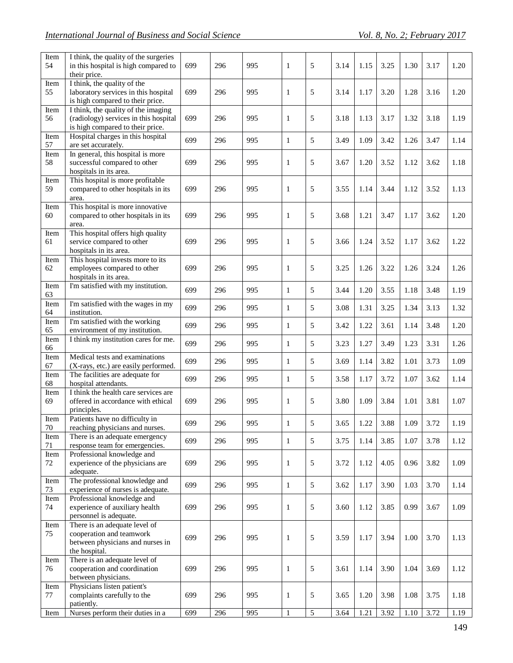| Item<br>54 | I think, the quality of the surgeries<br>in this hospital is high compared to<br>their price.                    | 699 | 296 | 995 | $\mathbf{1}$ | 5              | 3.14 | 1.15 | 3.25 | 1.30 | 3.17 | 1.20 |
|------------|------------------------------------------------------------------------------------------------------------------|-----|-----|-----|--------------|----------------|------|------|------|------|------|------|
| Item<br>55 | I think, the quality of the<br>laboratory services in this hospital<br>is high compared to their price.          | 699 | 296 | 995 | $\mathbf{1}$ | 5              | 3.14 | 1.17 | 3.20 | 1.28 | 3.16 | 1.20 |
| Item<br>56 | I think, the quality of the imaging<br>(radiology) services in this hospital<br>is high compared to their price. | 699 | 296 | 995 | 1            | 5              | 3.18 | 1.13 | 3.17 | 1.32 | 3.18 | 1.19 |
| Item<br>57 | Hospital charges in this hospital<br>are set accurately.                                                         | 699 | 296 | 995 | $\mathbf{1}$ | 5              | 3.49 | 1.09 | 3.42 | 1.26 | 3.47 | 1.14 |
| Item<br>58 | In general, this hospital is more<br>successful compared to other<br>hospitals in its area.                      | 699 | 296 | 995 | $\mathbf{1}$ | 5              | 3.67 | 1.20 | 3.52 | 1.12 | 3.62 | 1.18 |
| Item<br>59 | This hospital is more profitable<br>compared to other hospitals in its<br>area.                                  | 699 | 296 | 995 | 1            | 5              | 3.55 | 1.14 | 3.44 | 1.12 | 3.52 | 1.13 |
| Item<br>60 | This hospital is more innovative<br>compared to other hospitals in its<br>area.                                  | 699 | 296 | 995 | 1            | 5              | 3.68 | 1.21 | 3.47 | 1.17 | 3.62 | 1.20 |
| Item<br>61 | This hospital offers high quality<br>service compared to other<br>hospitals in its area.                         | 699 | 296 | 995 | $\mathbf{1}$ | 5              | 3.66 | 1.24 | 3.52 | 1.17 | 3.62 | 1.22 |
| Item<br>62 | This hospital invests more to its<br>employees compared to other<br>hospitals in its area.                       | 699 | 296 | 995 | $\mathbf{1}$ | 5              | 3.25 | 1.26 | 3.22 | 1.26 | 3.24 | 1.26 |
| Item<br>63 | I'm satisfied with my institution.                                                                               | 699 | 296 | 995 | $\mathbf{1}$ | 5              | 3.44 | 1.20 | 3.55 | 1.18 | 3.48 | 1.19 |
| Item<br>64 | I'm satisfied with the wages in my<br>institution.                                                               | 699 | 296 | 995 | $\mathbf{1}$ | 5              | 3.08 | 1.31 | 3.25 | 1.34 | 3.13 | 1.32 |
| Item<br>65 | I'm satisfied with the working<br>environment of my institution.                                                 | 699 | 296 | 995 | $\mathbf{1}$ | 5              | 3.42 | 1.22 | 3.61 | 1.14 | 3.48 | 1.20 |
| Item<br>66 | I think my institution cares for me.                                                                             | 699 | 296 | 995 | $\mathbf{1}$ | 5              | 3.23 | 1.27 | 3.49 | 1.23 | 3.31 | 1.26 |
| Item<br>67 | Medical tests and examinations<br>(X-rays, etc.) are easily performed.                                           | 699 | 296 | 995 | $\mathbf{1}$ | 5              | 3.69 | 1.14 | 3.82 | 1.01 | 3.73 | 1.09 |
| Item<br>68 | The facilities are adequate for<br>hospital attendants.                                                          | 699 | 296 | 995 | $\mathbf{1}$ | 5              | 3.58 | 1.17 | 3.72 | 1.07 | 3.62 | 1.14 |
| Item<br>69 | I think the health care services are<br>offered in accordance with ethical<br>principles.                        | 699 | 296 | 995 | $\mathbf{1}$ | 5              | 3.80 | 1.09 | 3.84 | 1.01 | 3.81 | 1.07 |
| Item<br>70 | Patients have no difficulty in<br>reaching physicians and nurses.                                                | 699 | 296 | 995 | 1            | 5              | 3.65 | 1.22 | 3.88 | 1.09 | 3.72 | 1.19 |
| Item<br>71 | There is an adequate emergency<br>response team for emergencies.                                                 | 699 | 296 | 995 | $\mathbf{1}$ | 5              | 3.75 | 1.14 | 3.85 | 1.07 | 3.78 | 1.12 |
| Item<br>72 | Professional knowledge and<br>experience of the physicians are<br>adequate.                                      | 699 | 296 | 995 | $\mathbf{1}$ | 5              | 3.72 | 1.12 | 4.05 | 0.96 | 3.82 | 1.09 |
| Item<br>73 | The professional knowledge and<br>experience of nurses is adequate.                                              | 699 | 296 | 995 | $\mathbf{1}$ | 5              | 3.62 | 1.17 | 3.90 | 1.03 | 3.70 | 1.14 |
| Item<br>74 | Professional knowledge and<br>experience of auxiliary health<br>personnel is adequate.                           | 699 | 296 | 995 | $\mathbf{1}$ | 5              | 3.60 | 1.12 | 3.85 | 0.99 | 3.67 | 1.09 |
| Item<br>75 | There is an adequate level of<br>cooperation and teamwork<br>between physicians and nurses in<br>the hospital.   | 699 | 296 | 995 | $\mathbf{1}$ | $\sqrt{5}$     | 3.59 | 1.17 | 3.94 | 1.00 | 3.70 | 1.13 |
| Item<br>76 | There is an adequate level of<br>cooperation and coordination<br>between physicians.                             | 699 | 296 | 995 | $\mathbf{1}$ | $\mathfrak{H}$ | 3.61 | 1.14 | 3.90 | 1.04 | 3.69 | 1.12 |
| Item<br>77 | Physicians listen patient's<br>complaints carefully to the<br>patiently.                                         | 699 | 296 | 995 | $\mathbf{1}$ | 5              | 3.65 | 1.20 | 3.98 | 1.08 | 3.75 | 1.18 |
| Item       | Nurses perform their duties in a                                                                                 | 699 | 296 | 995 | $\mathbf{1}$ | $\overline{5}$ | 3.64 | 1.21 | 3.92 | 1.10 | 3.72 | 1.19 |